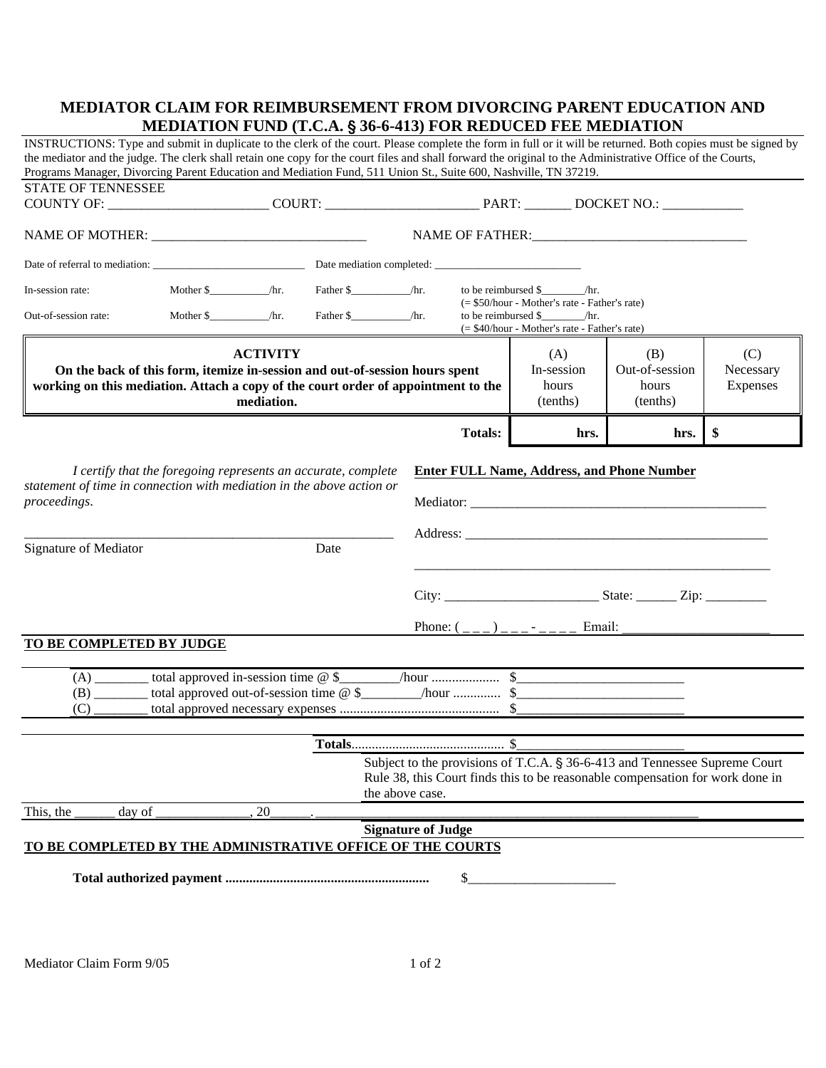## **MEDIATOR CLAIM FOR REIMBURSEMENT FROM DIVORCING PARENT EDUCATION AND MEDIATION FUND (T.C.A.** ' **36-6-413) FOR REDUCED FEE MEDIATION**

|                                                                                                                                            |        | INSTRUCTIONS: Type and submit in duplicate to the clerk of the court. Please complete the form in full or it will be returned. Both copies must be signed by<br>the mediator and the judge. The clerk shall retain one copy for the court files and shall forward the original to the Administrative Office of the Courts, |                                                                                                                                                             |                                        |                                            |                              |  |  |
|--------------------------------------------------------------------------------------------------------------------------------------------|--------|----------------------------------------------------------------------------------------------------------------------------------------------------------------------------------------------------------------------------------------------------------------------------------------------------------------------------|-------------------------------------------------------------------------------------------------------------------------------------------------------------|----------------------------------------|--------------------------------------------|------------------------------|--|--|
| <b>STATE OF TENNESSEE</b>                                                                                                                  |        |                                                                                                                                                                                                                                                                                                                            | Programs Manager, Divorcing Parent Education and Mediation Fund, 511 Union St., Suite 600, Nashville, TN 37219.                                             |                                        |                                            |                              |  |  |
|                                                                                                                                            |        |                                                                                                                                                                                                                                                                                                                            |                                                                                                                                                             |                                        |                                            |                              |  |  |
|                                                                                                                                            |        |                                                                                                                                                                                                                                                                                                                            |                                                                                                                                                             |                                        |                                            |                              |  |  |
| In-session rate:                                                                                                                           |        |                                                                                                                                                                                                                                                                                                                            |                                                                                                                                                             |                                        |                                            |                              |  |  |
| Out-of-session rate:                                                                                                                       |        |                                                                                                                                                                                                                                                                                                                            | $(= $50/hour - Mother's rate - Father's rate)$<br>to be reimbursed $\frac{1}{2}$ /hr.<br>(= \$40/hour - Mother's rate - Father's rate)                      |                                        |                                            |                              |  |  |
|                                                                                                                                            |        | <b>ACTIVITY</b><br>On the back of this form, itemize in-session and out-of-session hours spent<br>working on this mediation. Attach a copy of the court order of appointment to the<br>mediation.                                                                                                                          |                                                                                                                                                             | (A)<br>In-session<br>hours<br>(tenths) | (B)<br>Out-of-session<br>hours<br>(tenths) | (C)<br>Necessary<br>Expenses |  |  |
|                                                                                                                                            |        |                                                                                                                                                                                                                                                                                                                            | <b>Totals:</b>                                                                                                                                              | hrs.                                   | hrs.                                       | \$                           |  |  |
| statement of time in connection with mediation in the above action or<br>proceedings.<br>Signature of Mediator<br>TO BE COMPLETED BY JUDGE |        | Date                                                                                                                                                                                                                                                                                                                       | Phone: $($ <sub>---</sub> $)$ <sub>---</sub> - <sub>----</sub> Email:                                                                                       |                                        |                                            |                              |  |  |
| (C)                                                                                                                                        |        |                                                                                                                                                                                                                                                                                                                            |                                                                                                                                                             |                                        |                                            |                              |  |  |
|                                                                                                                                            |        | the above case.                                                                                                                                                                                                                                                                                                            | Subject to the provisions of T.C.A. § 36-6-413 and Tennessee Supreme Court<br>Rule 38, this Court finds this to be reasonable compensation for work done in |                                        |                                            |                              |  |  |
| This, the                                                                                                                                  | day of | 20                                                                                                                                                                                                                                                                                                                         |                                                                                                                                                             |                                        |                                            |                              |  |  |
| <b>Signature of Judge</b><br>TO BE COMPLETED BY THE ADMINISTRATIVE OFFICE OF THE COURTS<br>\$                                              |        |                                                                                                                                                                                                                                                                                                                            |                                                                                                                                                             |                                        |                                            |                              |  |  |